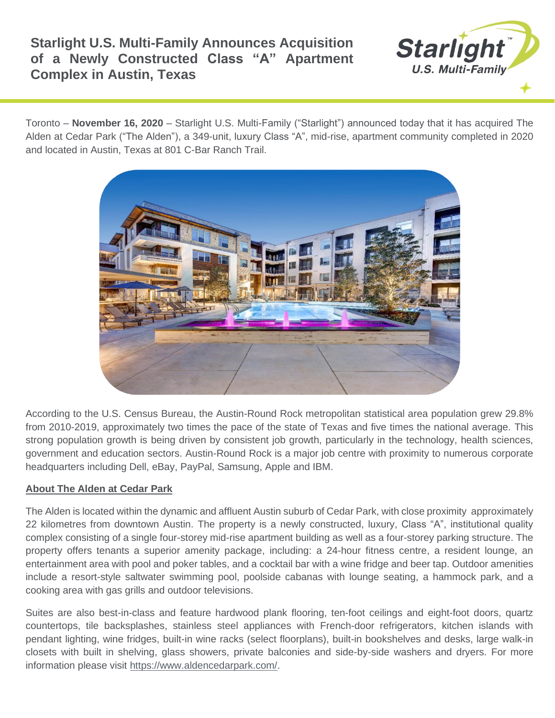## **Starlight U.S. Multi-Family Announces Acquisition of a Newly Constructed Class "A" Apartment Complex in Austin, Texas**



Toronto – **November 16, 2020** – Starlight U.S. Multi-Family ("Starlight") announced today that it has acquired The Alden at Cedar Park ("The Alden"), a 349-unit, luxury Class "A", mid-rise, apartment community completed in 2020 and located in Austin, Texas at 801 C-Bar Ranch Trail.



According to the U.S. Census Bureau, the Austin-Round Rock metropolitan statistical area population grew 29.8% from 2010-2019, approximately two times the pace of the state of Texas and five times the national average. This strong population growth is being driven by consistent job growth, particularly in the technology, health sciences, government and education sectors. Austin-Round Rock is a major job centre with proximity to numerous corporate headquarters including Dell, eBay, PayPal, Samsung, Apple and IBM.

## **About The Alden at Cedar Park**

The Alden is located within the dynamic and affluent Austin suburb of Cedar Park, with close proximity approximately 22 kilometres from downtown Austin. The property is a newly constructed, luxury, Class "A", institutional quality complex consisting of a single four-storey mid-rise apartment building as well as a four-storey parking structure. The property offers tenants a superior amenity package, including: a 24-hour fitness centre, a resident lounge, an entertainment area with pool and poker tables, and a cocktail bar with a wine fridge and beer tap. Outdoor amenities include a resort-style saltwater swimming pool, poolside cabanas with lounge seating, a hammock park, and a cooking area with gas grills and outdoor televisions.

Suites are also best-in-class and feature hardwood plank flooring, ten-foot ceilings and eight-foot doors, quartz countertops, tile backsplashes, stainless steel appliances with French-door refrigerators, kitchen islands with pendant lighting, wine fridges, built-in wine racks (select floorplans), built-in bookshelves and desks, large walk-in closets with built in shelving, glass showers, private balconies and side-by-side washers and dryers. For more information please visit [https://www.aldencedarpark.com/.](https://www.aldencedarpark.com/)